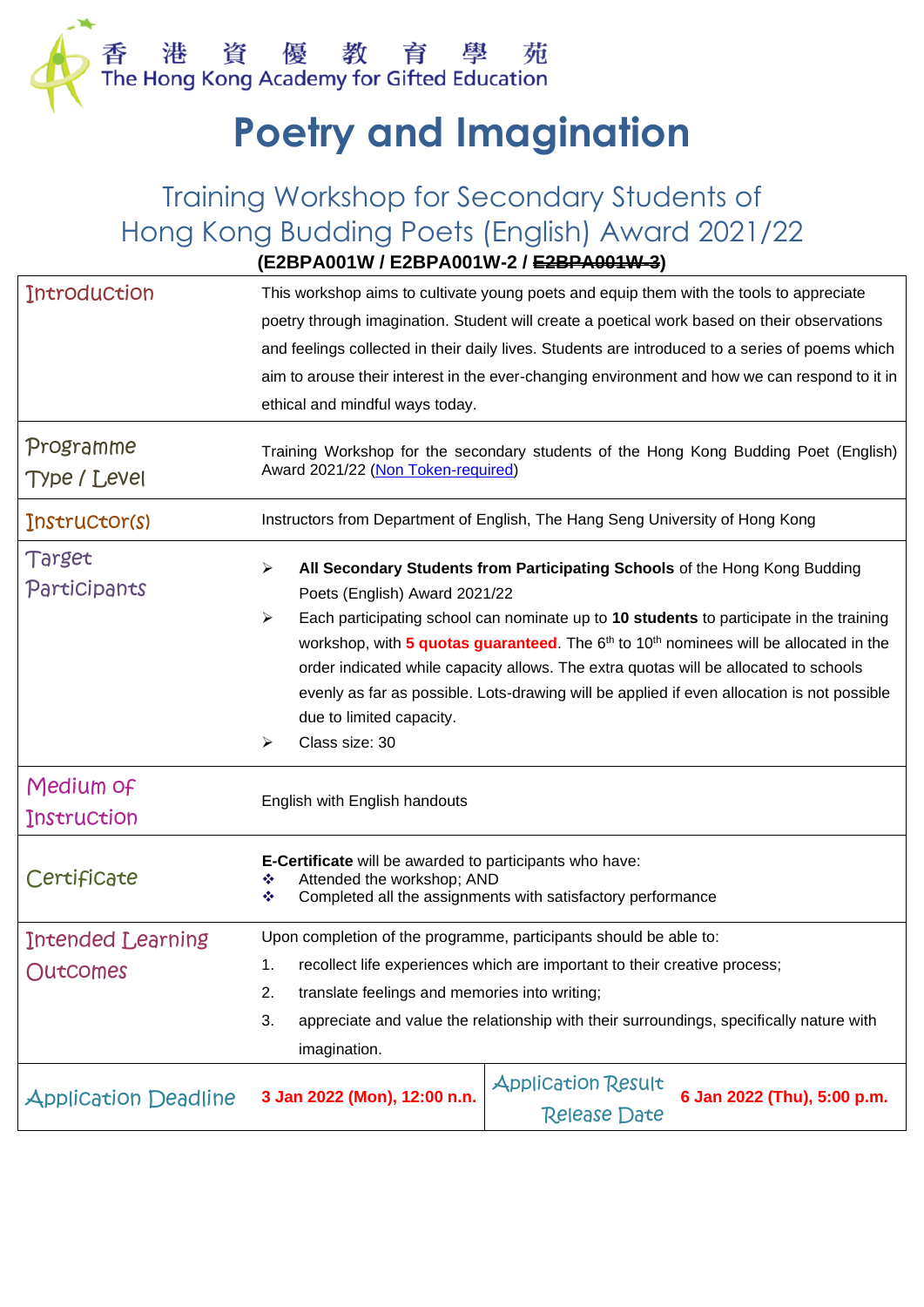

# **Poetry and Imagination**

## Training Workshop for Secondary Students of Hong Kong Budding Poets (English) Award 2021/22 **(E2BPA001W / E2BPA001W-2 / E2BPA001W-3)**

| <b>Introduction</b><br>This workshop aims to cultivate young poets and equip them with the tools to appreciate<br>poetry through imagination. Student will create a poetical work based on their observations<br>and feelings collected in their daily lives. Students are introduced to a series of poems which<br>aim to arouse their interest in the ever-changing environment and how we can respond to it in<br>ethical and mindful ways today.<br>Programme<br>Training Workshop for the secondary students of the Hong Kong Budding Poet (English)<br>Award 2021/22 (Non Token-required)<br>Type / Level<br>Instructors from Department of English, The Hang Seng University of Hong Kong<br>Instructor(s)<br>Target<br>➤<br>All Secondary Students from Participating Schools of the Hong Kong Budding<br>Participants<br>Poets (English) Award 2021/22<br>Each participating school can nominate up to 10 students to participate in the training<br>➤<br>workshop, with 5 quotas guaranteed. The 6 <sup>th</sup> to 10 <sup>th</sup> nominees will be allocated in the<br>order indicated while capacity allows. The extra quotas will be allocated to schools<br>evenly as far as possible. Lots-drawing will be applied if even allocation is not possible<br>due to limited capacity.<br>Class size: 30<br>➤<br>Medium of<br>English with English handouts<br>Instruction<br>E-Certificate will be awarded to participants who have:<br>Certificate<br>Attended the workshop; AND<br>❖<br>Completed all the assignments with satisfactory performance<br>❖<br>Upon completion of the programme, participants should be able to:<br>Intended Learning<br>1. recollect life experiences which are important to their creative process;<br>Outcomes<br>translate feelings and memories into writing;<br>2.<br>appreciate and value the relationship with their surroundings, specifically nature with<br>3.<br>imagination.<br><b>Application Result</b><br>6 Jan 2022 (Thu), 5:00 p.m.<br>3 Jan 2022 (Mon), 12:00 n.n.<br><b>Application Deadline</b><br><b>Release Date</b> |  |  |  |  |
|-----------------------------------------------------------------------------------------------------------------------------------------------------------------------------------------------------------------------------------------------------------------------------------------------------------------------------------------------------------------------------------------------------------------------------------------------------------------------------------------------------------------------------------------------------------------------------------------------------------------------------------------------------------------------------------------------------------------------------------------------------------------------------------------------------------------------------------------------------------------------------------------------------------------------------------------------------------------------------------------------------------------------------------------------------------------------------------------------------------------------------------------------------------------------------------------------------------------------------------------------------------------------------------------------------------------------------------------------------------------------------------------------------------------------------------------------------------------------------------------------------------------------------------------------------------------------------------------------------------------------------------------------------------------------------------------------------------------------------------------------------------------------------------------------------------------------------------------------------------------------------------------------------------------------------------------------------------------------------------------------------------------------------------------------------------------------------------------|--|--|--|--|
|                                                                                                                                                                                                                                                                                                                                                                                                                                                                                                                                                                                                                                                                                                                                                                                                                                                                                                                                                                                                                                                                                                                                                                                                                                                                                                                                                                                                                                                                                                                                                                                                                                                                                                                                                                                                                                                                                                                                                                                                                                                                                         |  |  |  |  |
|                                                                                                                                                                                                                                                                                                                                                                                                                                                                                                                                                                                                                                                                                                                                                                                                                                                                                                                                                                                                                                                                                                                                                                                                                                                                                                                                                                                                                                                                                                                                                                                                                                                                                                                                                                                                                                                                                                                                                                                                                                                                                         |  |  |  |  |
|                                                                                                                                                                                                                                                                                                                                                                                                                                                                                                                                                                                                                                                                                                                                                                                                                                                                                                                                                                                                                                                                                                                                                                                                                                                                                                                                                                                                                                                                                                                                                                                                                                                                                                                                                                                                                                                                                                                                                                                                                                                                                         |  |  |  |  |
|                                                                                                                                                                                                                                                                                                                                                                                                                                                                                                                                                                                                                                                                                                                                                                                                                                                                                                                                                                                                                                                                                                                                                                                                                                                                                                                                                                                                                                                                                                                                                                                                                                                                                                                                                                                                                                                                                                                                                                                                                                                                                         |  |  |  |  |
|                                                                                                                                                                                                                                                                                                                                                                                                                                                                                                                                                                                                                                                                                                                                                                                                                                                                                                                                                                                                                                                                                                                                                                                                                                                                                                                                                                                                                                                                                                                                                                                                                                                                                                                                                                                                                                                                                                                                                                                                                                                                                         |  |  |  |  |
|                                                                                                                                                                                                                                                                                                                                                                                                                                                                                                                                                                                                                                                                                                                                                                                                                                                                                                                                                                                                                                                                                                                                                                                                                                                                                                                                                                                                                                                                                                                                                                                                                                                                                                                                                                                                                                                                                                                                                                                                                                                                                         |  |  |  |  |
|                                                                                                                                                                                                                                                                                                                                                                                                                                                                                                                                                                                                                                                                                                                                                                                                                                                                                                                                                                                                                                                                                                                                                                                                                                                                                                                                                                                                                                                                                                                                                                                                                                                                                                                                                                                                                                                                                                                                                                                                                                                                                         |  |  |  |  |
|                                                                                                                                                                                                                                                                                                                                                                                                                                                                                                                                                                                                                                                                                                                                                                                                                                                                                                                                                                                                                                                                                                                                                                                                                                                                                                                                                                                                                                                                                                                                                                                                                                                                                                                                                                                                                                                                                                                                                                                                                                                                                         |  |  |  |  |
|                                                                                                                                                                                                                                                                                                                                                                                                                                                                                                                                                                                                                                                                                                                                                                                                                                                                                                                                                                                                                                                                                                                                                                                                                                                                                                                                                                                                                                                                                                                                                                                                                                                                                                                                                                                                                                                                                                                                                                                                                                                                                         |  |  |  |  |
|                                                                                                                                                                                                                                                                                                                                                                                                                                                                                                                                                                                                                                                                                                                                                                                                                                                                                                                                                                                                                                                                                                                                                                                                                                                                                                                                                                                                                                                                                                                                                                                                                                                                                                                                                                                                                                                                                                                                                                                                                                                                                         |  |  |  |  |
|                                                                                                                                                                                                                                                                                                                                                                                                                                                                                                                                                                                                                                                                                                                                                                                                                                                                                                                                                                                                                                                                                                                                                                                                                                                                                                                                                                                                                                                                                                                                                                                                                                                                                                                                                                                                                                                                                                                                                                                                                                                                                         |  |  |  |  |
|                                                                                                                                                                                                                                                                                                                                                                                                                                                                                                                                                                                                                                                                                                                                                                                                                                                                                                                                                                                                                                                                                                                                                                                                                                                                                                                                                                                                                                                                                                                                                                                                                                                                                                                                                                                                                                                                                                                                                                                                                                                                                         |  |  |  |  |
|                                                                                                                                                                                                                                                                                                                                                                                                                                                                                                                                                                                                                                                                                                                                                                                                                                                                                                                                                                                                                                                                                                                                                                                                                                                                                                                                                                                                                                                                                                                                                                                                                                                                                                                                                                                                                                                                                                                                                                                                                                                                                         |  |  |  |  |
|                                                                                                                                                                                                                                                                                                                                                                                                                                                                                                                                                                                                                                                                                                                                                                                                                                                                                                                                                                                                                                                                                                                                                                                                                                                                                                                                                                                                                                                                                                                                                                                                                                                                                                                                                                                                                                                                                                                                                                                                                                                                                         |  |  |  |  |
|                                                                                                                                                                                                                                                                                                                                                                                                                                                                                                                                                                                                                                                                                                                                                                                                                                                                                                                                                                                                                                                                                                                                                                                                                                                                                                                                                                                                                                                                                                                                                                                                                                                                                                                                                                                                                                                                                                                                                                                                                                                                                         |  |  |  |  |
|                                                                                                                                                                                                                                                                                                                                                                                                                                                                                                                                                                                                                                                                                                                                                                                                                                                                                                                                                                                                                                                                                                                                                                                                                                                                                                                                                                                                                                                                                                                                                                                                                                                                                                                                                                                                                                                                                                                                                                                                                                                                                         |  |  |  |  |
|                                                                                                                                                                                                                                                                                                                                                                                                                                                                                                                                                                                                                                                                                                                                                                                                                                                                                                                                                                                                                                                                                                                                                                                                                                                                                                                                                                                                                                                                                                                                                                                                                                                                                                                                                                                                                                                                                                                                                                                                                                                                                         |  |  |  |  |
|                                                                                                                                                                                                                                                                                                                                                                                                                                                                                                                                                                                                                                                                                                                                                                                                                                                                                                                                                                                                                                                                                                                                                                                                                                                                                                                                                                                                                                                                                                                                                                                                                                                                                                                                                                                                                                                                                                                                                                                                                                                                                         |  |  |  |  |
|                                                                                                                                                                                                                                                                                                                                                                                                                                                                                                                                                                                                                                                                                                                                                                                                                                                                                                                                                                                                                                                                                                                                                                                                                                                                                                                                                                                                                                                                                                                                                                                                                                                                                                                                                                                                                                                                                                                                                                                                                                                                                         |  |  |  |  |